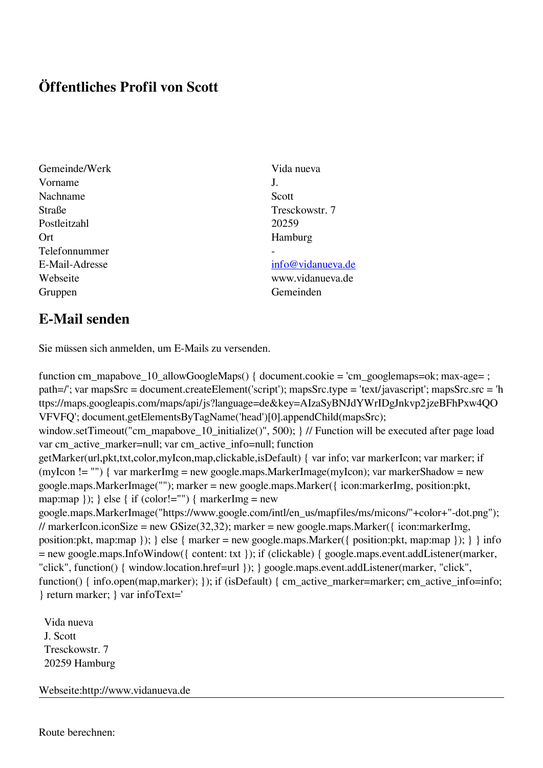## **Öffentliches Profil von Scott**

- Gemeinde/Werk Vida nueva Vorname J. Nachname Scott Straße Tresckowstr. 7 Postleitzahl 20259 Ort Hamburg Telefonnummer - E-Mail-Adresse [info@vidanueva.de](mailto:info@vidanueva.de) Gruppen Gemeinden
	-

Webseite www.vidanueva.de

## **E-Mail senden**

Sie müssen sich anmelden, um E-Mails zu versenden.

function cm\_mapabove\_10\_allowGoogleMaps() { document.cookie = 'cm\_googlemaps=ok; max-age= ; path=/'; var mapsSrc = document.createElement('script'); mapsSrc.type = 'text/javascript'; mapsSrc.src = 'h ttps://maps.googleapis.com/maps/api/js?language=de&key=AIzaSyBNJdYWrIDgJnkvp2jzeBFhPxw4QO VFVFQ'; document.getElementsByTagName('head')[0].appendChild(mapsSrc); window.setTimeout("cm\_mapabove\_10\_initialize()", 500); } // Function will be executed after page load var cm\_active\_marker=null; var cm\_active\_info=null; function getMarker(url,pkt,txt,color,myIcon,map,clickable,isDefault) { var info; var markerIcon; var marker; if (myIcon != "") { var markerImg = new google.maps.MarkerImage(myIcon); var markerShadow = new google.maps.MarkerImage(""); marker = new google.maps.Marker({ icon:markerImg, position:pkt, map:map  $\}$ ;  $\}$  else  $\{$  if (color!="")  $\{$  markerImg = new google.maps.MarkerImage("https://www.google.com/intl/en\_us/mapfiles/ms/micons/"+color+"-dot.png"); // markerIcon.iconSize = new GSize(32,32); marker = new google.maps.Marker({ $i$ con:markerImg, position:pkt, map:map }); } else { marker = new google.maps.Marker({ position:pkt, map:map }); } } info = new google.maps.InfoWindow({ content: txt }); if (clickable) { google.maps.event.addListener(marker, "click", function() { window.location.href=url }); } google.maps.event.addListener(marker, "click", function() { info.open(map,marker); }); if (isDefault) { cm\_active\_marker=marker; cm\_active\_info=info; } return marker; } var infoText='

 Vida nueva J. Scott Tresckowstr. 7 20259 Hamburg

Webseite:http://www.vidanueva.de